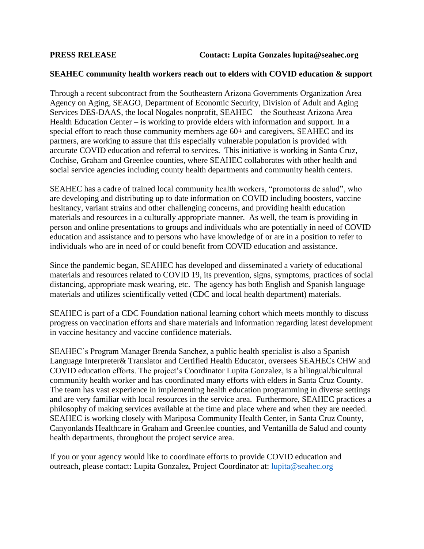## **SEAHEC community health workers reach out to elders with COVID education & support**

Through a recent subcontract from the Southeastern Arizona Governments Organization Area Agency on Aging, SEAGO, Department of Economic Security, Division of Adult and Aging Services DES-DAAS, the local Nogales nonprofit, SEAHEC – the Southeast Arizona Area Health Education Center – is working to provide elders with information and support. In a special effort to reach those community members age 60+ and caregivers, SEAHEC and its partners, are working to assure that this especially vulnerable population is provided with accurate COVID education and referral to services. This initiative is working in Santa Cruz, Cochise, Graham and Greenlee counties, where SEAHEC collaborates with other health and social service agencies including county health departments and community health centers.

SEAHEC has a cadre of trained local community health workers, "promotoras de salud", who are developing and distributing up to date information on COVID including boosters, vaccine hesitancy, variant strains and other challenging concerns, and providing health education materials and resources in a culturally appropriate manner. As well, the team is providing in person and online presentations to groups and individuals who are potentially in need of COVID education and assistance and to persons who have knowledge of or are in a position to refer to individuals who are in need of or could benefit from COVID education and assistance.

Since the pandemic began, SEAHEC has developed and disseminated a variety of educational materials and resources related to COVID 19, its prevention, signs, symptoms, practices of social distancing, appropriate mask wearing, etc. The agency has both English and Spanish language materials and utilizes scientifically vetted (CDC and local health department) materials.

SEAHEC is part of a CDC Foundation national learning cohort which meets monthly to discuss progress on vaccination efforts and share materials and information regarding latest development in vaccine hesitancy and vaccine confidence materials.

SEAHEC's Program Manager Brenda Sanchez, a public health specialist is also a Spanish Language Interpreter& Translator and Certified Health Educator, oversees SEAHECs CHW and COVID education efforts. The project's Coordinator Lupita Gonzalez, is a bilingual/bicultural community health worker and has coordinated many efforts with elders in Santa Cruz County. The team has vast experience in implementing health education programming in diverse settings and are very familiar with local resources in the service area. Furthermore, SEAHEC practices a philosophy of making services available at the time and place where and when they are needed. SEAHEC is working closely with Mariposa Community Health Center, in Santa Cruz County, Canyonlands Healthcare in Graham and Greenlee counties, and Ventanilla de Salud and county health departments, throughout the project service area.

If you or your agency would like to coordinate efforts to provide COVID education and outreach, please contact: Lupita Gonzalez, Project Coordinator at: [lupita@seahec.org](mailto:lupita@seahec.org)